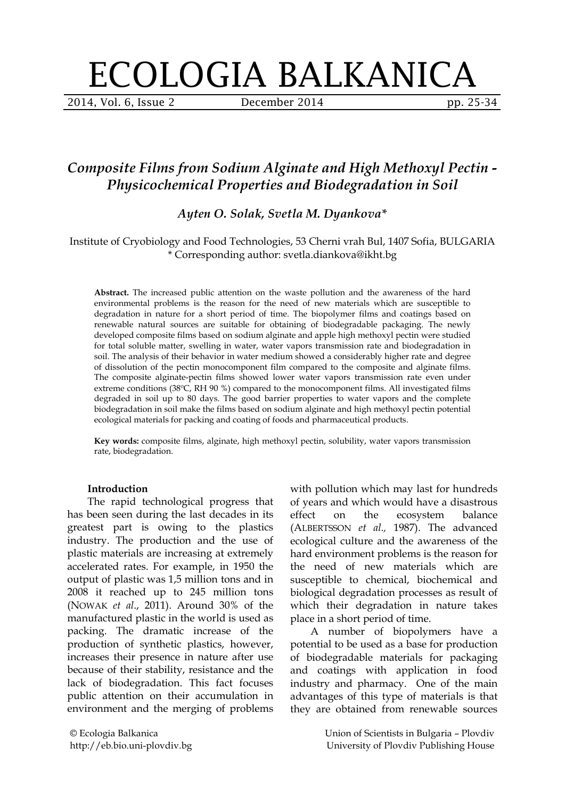# ECOLOGIA BALKANICA

2014, Vol. 6, Issue 2 December 2014 pp. 25-34

# *Composite Films from Sodium Alginate and High Methoxyl Pectin - Physicochemical Properties and Biodegradation in Soil*

*Ayten O. Solak, Svetla M. Dyankova\**

#### Institute of Cryobiology and Food Technologies, 53 Cherni vrah Bul, 1407 Sofia, BULGARIA \* Corresponding author: [svetla.diankova@ikht.bg](mailto:svetla.diankova@ikht.bg)

**Abstract.** The increased public attention on the waste pollution and the awareness of the hard environmental problems is the reason for the need of new materials which are susceptible to degradation in nature for a short period of time. The biopolymer films and coatings based on renewable natural sources are suitable for obtaining of biodegradable packaging. The newly developed composite films based on sodium alginate and apple high methoxyl pectin were studied for total soluble matter, swelling in water, water vapors transmission rate and biodegradation in soil. The analysis of their behavior in water medium showed a considerably higher rate and degree of dissolution of the pectin monocomponent film compared to the composite and alginate films. The composite alginate-pectin films showed lower water vapors transmission rate even under extreme conditions (38ºC, RH 90 %) compared to the monocomponent films. All investigated films degraded in soil up to 80 days. The good barrier properties to water vapors and the complete biodegradation in soil make the films based on sodium alginate and high methoxyl pectin potential ecological materials for packing and coating of foods and pharmaceutical products.

**Key words:** composite films, alginate, high methoxyl pectin, solubility, water vapors transmission rate, biodegradation.

#### **Introduction**

The rapid technological progress that has been seen during the last decades in its greatest part is owing to the plastics industry. The production and the use of plastic materials are increasing at extremely accelerated rates. For example, in 1950 the output of plastic was 1,5 million tons and in 2008 it reached up to 245 million tons (NOWAK *et al*., 2011). Around 30% of the manufactured plastic in the world is used as packing. The dramatic increase of the production of synthetic plastics, however, increases their presence in nature after use because of their stability, resistance and the lack of biodegradation. This fact focuses public attention on their accumulation in environment and the merging of problems with pollution which may last for hundreds of years and which would have a disastrous effect on the ecosystem balance (ALBERTSSON *et al.,* 1987). The advanced ecological culture and the awareness of the hard environment problems is the reason for the need of new materials which are susceptible to chemical, biochemical and biological degradation processes as result of which their degradation in nature takes place in a short period of time.

A number of biopolymers have a potential to be used as a base for production of biodegradable materials for packaging and coatings with application in food industry and pharmacy. One of the main advantages of this type of materials is that they are obtained from renewable sources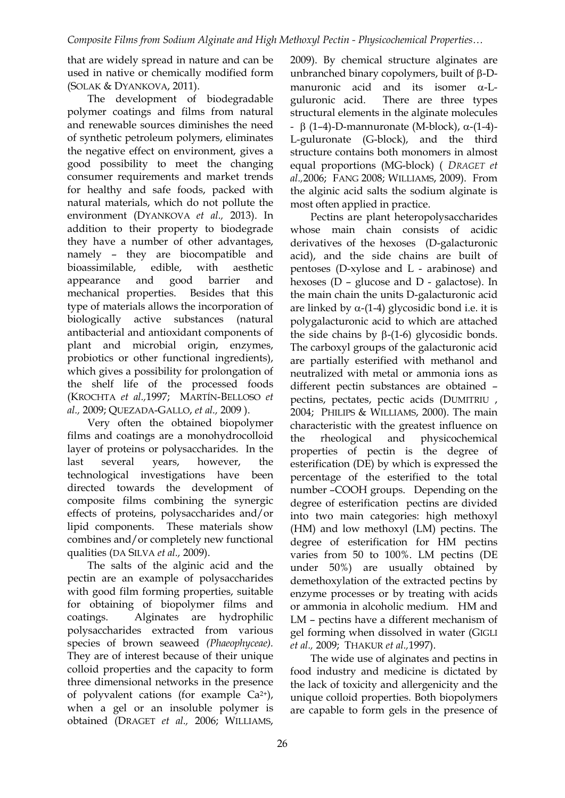that are widely spread in nature and can be used in native or chemically modified form (SOLAK & DYANKOVA, 2011).

The development of biodegradable polymer coatings and films from natural and renewable sources diminishes the need of synthetic petroleum polymers, eliminates the negative effect on environment, gives a good possibility to meet the changing consumer requirements and market trends for healthy and safe foods, packed with natural materials, which do not pollute the environment (DYANKOVA *et al.,* 2013). In addition to their property to biodegrade they have a number of other advantages, namely – they are biocompatible and bioassimilable, edible, with aesthetic appearance and good barrier and mechanical properties. Besides that this type of materials allows the incorporation of biologically active substances (natural antibacterial and antioxidant components of plant and microbial origin, enzymes, probiotics or other functional ingredients), which gives a possibility for prolongation of the shelf life of the processed foods (KROCHTA *et al.,*1997; MARTÍN-BELLOSO *et al.,* 2009; QUEZADA-GALLO, *et al.,* 2009 ).

Very often the obtained biopolymer films and coatings are a monohydrocolloid layer of proteins or polysaccharides. In the last several years, however, the technological investigations have been directed towards the development of composite films combining the synergic effects of proteins, polysaccharides and/or lipid components. These materials show combines and/or completely new functional qualities (DA SILVA *et al.,* 2009).

The salts of the alginic acid and the pectin are an example of polysaccharides with good film forming properties, suitable for obtaining of biopolymer films and coatings. Alginates are hydrophilic polysaccharides extracted from various species of brown seaweed *(Phaeophyceae).* They are of interest because of their unique colloid properties and the capacity to form three dimensional networks in the presence of polyvalent cations (for example  $Ca^{2+}$ ), when a gel or an insoluble polymer is obtained (DRAGET *et al.,* 2006; WILLIAMS,

2009). By chemical structure alginates are unbranched binary copolymers, built of β-Dmanuronic acid and its isomer α-Lguluronic acid. There are three types structural elements in the alginate molecules - β (1–4)-D-mannuronate (M-block), α-(1-4)- L-guluronate (G-block), and the third structure contains both monomers in almost equal proportions (MG-block) ( *DRAGET et al.,*2006; FANG 2008; WILLIAMS, 2009). From the alginic acid salts the sodium alginate is most often applied in practice.

Pectins are plant heteropolysaccharides whose main chain consists of acidic derivatives of the hexoses (D-galacturonic acid), and the side chains are built of pentoses (D-xylose and L - arabinose) and hexoses (D – glucose and D - galactose). In the main chain the units D-galacturonic acid are linked by  $\alpha$ -(1-4) glycosidic bond i.e. it is polygalacturonic acid to which are attached the side chains by  $β-(1-6)$  glycosidic bonds. The carboxyl groups of the galacturonic acid are partially esterified with methanol and neutralized with metal or ammonia ions as different pectin substances are obtained – pectins, pectates, pectic acids (DUMITRIU , 2004; PHILIPS & WILLIAMS, 2000). The main characteristic with the greatest influence on the rheological and physicochemical properties of pectin is the degree of esterification (DE) by which is expressed the percentage of the esterified to the total number –COOH groups. Depending on the degree of esterification pectins are divided into two main categories: high methoxyl (HM) and low methoxyl (LM) pectins. The degree of esterification for HM pectins varies from 50 to 100%. LM pectins (DE under 50%) are usually obtained by demethoxylation of the extracted pectins by enzyme processes or by treating with acids or ammonia in alcoholic medium. HM and LM – pectins have a different mechanism of gel forming when dissolved in water (GIGLI *et al.,* 2009; THAKUR *et al.,*1997).

The wide use of alginates and pectins in food industry and medicine is dictated by the lack of toxicity and allergenicity and the unique colloid properties. Both biopolymers are capable to form gels in the presence of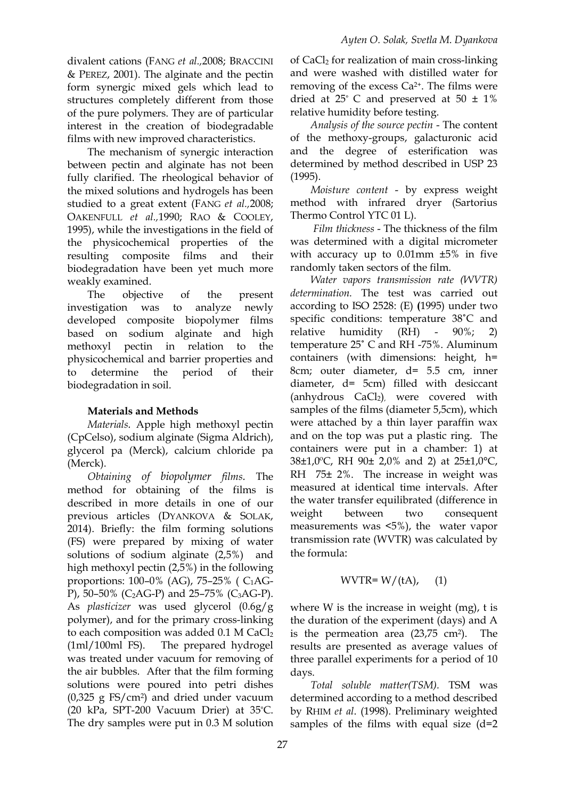divalent cations (FANG *et al.,*2008; BRACCINI & PEREZ, 2001). The alginate and the pectin form synergic mixed gels which lead to structures completely different from those of the pure polymers. They are of particular interest in the creation of biodegradable films with new improved characteristics.

The mechanism of synergic interaction between pectin and alginate has not been fully clarified. The rheological behavior of the mixed solutions and hydrogels has been studied to a great extent (FANG *et al.,*2008; OAKENFULL *et al.,*1990; RAO & COOLEY, 1995), while the investigations in the field of the physicochemical properties of the resulting composite films and their biodegradation have been yet much more weakly examined.

The objective of the present investigation was to analyze newly developed composite biopolymer films based on sodium alginate and high methoxyl pectin in relation to the physicochemical and barrier properties and to determine the period of their biodegradation in soil.

## **Materials and Methods**

*Materials.* Apple high methoxyl pectin (CpCelso), sodium alginate (Sigma Aldrich), glycerol pa (Merck), calcium chloride pa (Merck).

*Obtaining of biopolymer films.* The method for obtaining of the films is described in more details in one of our previous articles (DYANKOVA & SOLAK, 2014). Briefly: the film forming solutions (FS) were prepared by mixing of water solutions of sodium alginate (2,5%) and high methoxyl pectin (2,5%) in the following proportions: 100–0% (AG), 75–25% ( C1AG-P), 50–50% (C<sub>2</sub>AG-P) and 25–75% (C<sub>3</sub>AG-P). As *plasticizer* was used glycerol (0.6g/g polymer), and for the primary cross-linking to each composition was added 0.1 M CaCl<sub>2</sub> (1ml/100ml FS). The prepared hydrogel was treated under vacuum for removing of the air bubbles. After that the film forming solutions were poured into petri dishes (0,325 g FS/cm2) and dried under vacuum (20 kPa, SPT-200 Vacuum Drier) at 35°C. The dry samples were put in 0.3 M solution

of CaCl2 for realization of main cross-linking and were washed with distilled water for removing of the excess Ca2+. The films were dried at  $25^{\circ}$  C and preserved at  $50 \pm 1\%$ relative humidity before testing.

*Analysis of the source pectin* - The content of the methoxy-groups, galacturonic acid and the degree of esterification was determined by method described in USP 23 (1995).

*Moisture content* - by express weight method with infrared dryer (Sartorius Thermo Control YTC 01 L).

*Film thickness* - The thickness of the film was determined with a digital micrometer with accuracy up to 0.01mm ±5% in five randomly taken sectors of the film.

*Water vapors transmission rate (WVTR) determination.* The test was carried out according to ISO 2528: (E) **(**1995) under two specific conditions: temperature 38˚С and relative humidity (RH) - 90%; 2) temperature 25˚ С and RH -75%. Aluminum containers (with dimensions: height, h= 8cm; outer diameter, d= 5.5 cm, inner diameter, d= 5cm) filled with desiccant (anhydrous  $CaCl<sub>2</sub>$ ), were covered with samples of the films (diameter 5,5cm), which were attached by a thin layer paraffin wax and on the top was put a plastic ring. The containers were put in a chamber: 1) at 38±1,0ºС, RH 90± 2,0% and 2) at 25±1,0°С, RH 75± 2%. The increase in weight was measured at identical time intervals. After the water transfer equilibrated (difference in weight between two consequent measurements was <5%), the water vapor transmission rate (WVTR) was calculated by the formula:

$$
WVTR = W/(tA), (1)
$$

where W is the increase in weight (mg), t is the duration of the experiment (days) and A is the permeation area (23,75 cm2). The results are presented as average values of three parallel experiments for a period of 10 days.

*Total soluble matter(TSM).* TSM was determined according to a method described by RHIM *et al*. (1998). Preliminary weighted samples of the films with equal size  $(d=2)$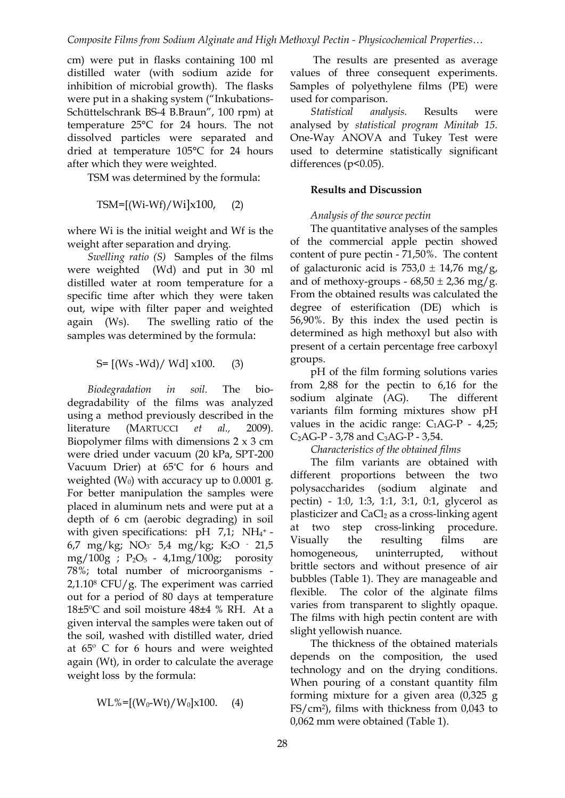cm) were put in flasks containing 100 ml distilled water (with sodium azide for inhibition of microbial growth). The flasks were put in a shaking system ("Inkubations-Schüttelschrank BS-4 B.Braun", 100 rpm) at temperature 25°С for 24 hours. The not dissolved particles were separated and dried at temperature 105°С for 24 hours after which they were weighted.

TSM was determined by the formula:

$$
TSM=[(Wi-Wf)/Wi]x100, (2)
$$

where Wi is the initial weight and Wf is the weight after separation and drying.

*Swelling ratio (S)* Samples of the films were weighted (Wd) and put in 30 ml distilled water at room temperature for a specific time after which they were taken out, wipe with filter paper and weighted again (Ws). The swelling ratio of the samples was determined by the formula:

$$
S = [(Ws - Wd) / Wd] x100.
$$
 (3)

*Biodegradation in soil.* The biodegradability of the films was analyzed using a method previously described in the literature (MARTUCCI *et al.,* 2009). Biopolymer films with dimensions  $2 \times 3$  cm were dried under vacuum (20 kPa, SPT-200 Vacuum Drier) at 65°C for 6 hours and weighted  $(W_0)$  with accuracy up to 0.0001 g. For better manipulation the samples were placed in aluminum nets and were put at a depth of 6 cm (aerobic degrading) in soil with given specifications:  $pH$  7,1; NH<sub>4</sub>+-6,7 mg/kg; NO3 - 5,4 mg/kg; K2O - 21,5 mg/100g ;  $P_2O_5 - 4.1mg/100g$ ; porosity 78%; total number of microorganisms -  $2,1.10$ <sup>8</sup> CFU/g. The experiment was carried out for a period of 80 days at temperature 18±5ºС and soil moisture 48±4 % RH. At a given interval the samples were taken out of the soil, washed with distilled water, dried at 65º С for 6 hours and were weighted again (Wt), in order to calculate the average weight loss by the formula:

$$
WL\%=[(W_0-Wt)/W_0]x100. (4)
$$

The results are presented as average values of three consequent experiments. Samples of polyethylene films (PE) were used for comparison.

*Statistical analysis.* Results were analysed by *statistical program Minitab 15.*  One-Way ANOVA and Tukey Test were used to determine statistically significant differences ( $p$ < $0.05$ ).

#### **Results and Discussion**

## *Analysis of the source pectin*

The quantitative analyses of the samples of the commercial apple pectin showed content of pure pectin - 71,50%. The content of galacturonic acid is  $753.0 \pm 14.76$  mg/g, and of methoxy-groups -  $68,50 \pm 2,36$  mg/g. From the obtained results was calculated the degree of esterification (DE) which is 56,90%. By this index the used pectin is determined as high methoxyl but also with present of a certain percentage free carboxyl groups.

рН of the film forming solutions varies from 2,88 for the pectin to 6,16 for the sodium alginate (AG). The different variants film forming mixtures show pH values in the acidic range:  $C_1AG-P - 4,25;$  $C_2AG-P - 3,78$  and  $C_3AG-P - 3,54$ .

*Characteristics of the obtained films*

The film variants are obtained with different proportions between the two polysaccharides (sodium alginate and pectin) - 1:0, 1:3, 1:1, 3:1, 0:1, glycerol as plasticizer and CaCl2 as a cross-linking agent at two step cross-linking procedure. Visually the resulting films are homogeneous, uninterrupted, without brittle sectors and without presence of air bubbles (Table 1). They are manageable and flexible. The color of the alginate films varies from transparent to slightly opaque. The films with high pectin content are with slight yellowish nuance.

The thickness of the obtained materials depends on the composition, the used technology and on the drying conditions. When pouring of a constant quantity film forming mixture for a given area (0,325 g FS/cm2), films with thickness from 0,043 to 0,062 mm were obtained (Table 1).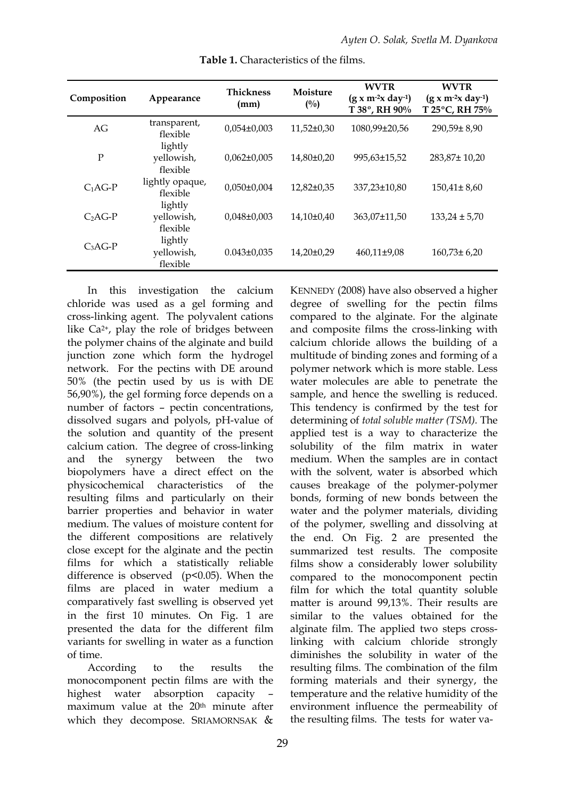| Composition | Appearance                             | <b>Thickness</b><br>(mm) | Moisture<br>$(^{0}/_{0})$ | <b>WVTR</b><br>$(g x m-2x day-1)$<br>T 38°, RH 90% | <b>WVTR</b><br>$(g x m^{-2} x day^{-1})$<br>T 25°C, RH 75% |
|-------------|----------------------------------------|--------------------------|---------------------------|----------------------------------------------------|------------------------------------------------------------|
| AG          | transparent,<br>flexible               | $0,054\pm0,003$          | $11,52\pm0,30$            | 1080,99±20,56                                      | $290,59 \pm 8,90$                                          |
| P           | lightly<br>yellowish,<br>flexible      | $0,062\pm0,005$          | $14,80\pm0,20$            | 995,63±15,52                                       | 283,87±10,20                                               |
| $C_1AG-P$   | lightly opaque,<br>flexible<br>lightly | $0,050 \pm 0,004$        | 12,82±0,35                | 337,23±10,80                                       | $150,41 \pm 8,60$                                          |
| $C2AG-P$    | yellowish,<br>flexible                 | $0,048\pm0,003$          | 14.10±0.40                | 363,07±11,50                                       | $133,24 \pm 5,70$                                          |
| $C_3AG-P$   | lightly<br>yellowish,<br>flexible      | $0.043 \pm 0.035$        | $14,20\pm0.29$            | $460,11\pm9,08$                                    | $160,73 \pm 6,20$                                          |

**Table 1.** Characteristics of the films.

In this investigation the calcium chloride was used as a gel forming and cross-linking agent. The polyvalent cations like Ca2+, play the role of bridges between the polymer chains of the alginate and build junction zone which form the hydrogel network. For the pectins with DE around 50% (the pectin used by us is with DE 56,90%), the gel forming force depends on a number of factors – pectin concentrations, dissolved sugars and polyols, pH-value of the solution and quantity of the present calcium cation. The degree of cross-linking and the synergy between the two biopolymers have a direct effect on the physicochemical characteristics of the resulting films and particularly on their barrier properties and behavior in water medium. The values of moisture content for the different compositions are relatively close except for the alginate and the pectin films for which a statistically reliable difference is observed  $(p<0.05)$ . When the films are placed in water medium a comparatively fast swelling is observed yet in the first 10 minutes. On Fig. 1 are presented the data for the different film variants for swelling in water as a function of time.

According to the results the monocomponent pectin films are with the highest water absorption capacity maximum value at the 20<sup>th</sup> minute after which they decompose. SRIAMORNSAK &

KENNEDY (2008) have also observed a higher degree of swelling for the pectin films compared to the alginate. For the alginate and composite films the cross-linking with calcium chloride allows the building of a multitude of binding zones and forming of a polymer network which is more stable. Less water molecules are able to penetrate the sample, and hence the swelling is reduced. This tendency is confirmed by the test for determining of *total soluble matter (TSM).* The applied test is a way to characterize the solubility of the film matrix in water medium. When the samples are in contact with the solvent, water is absorbed which causes breakage of the polymer-polymer bonds, forming of new bonds between the water and the polymer materials, dividing of the polymer, swelling and dissolving at the end. On Fig. 2 are presented the summarized test results. The composite films show a considerably lower solubility compared to the monocomponent pectin film for which the total quantity soluble matter is around 99,13%. Their results are similar to the values obtained for the alginate film. The applied two steps crosslinking with calcium chloride strongly diminishes the solubility in water of the resulting films. The combination of the film forming materials and their synergy, the temperature and the relative humidity of the environment influence the permeability of the resulting films. The tests for water va-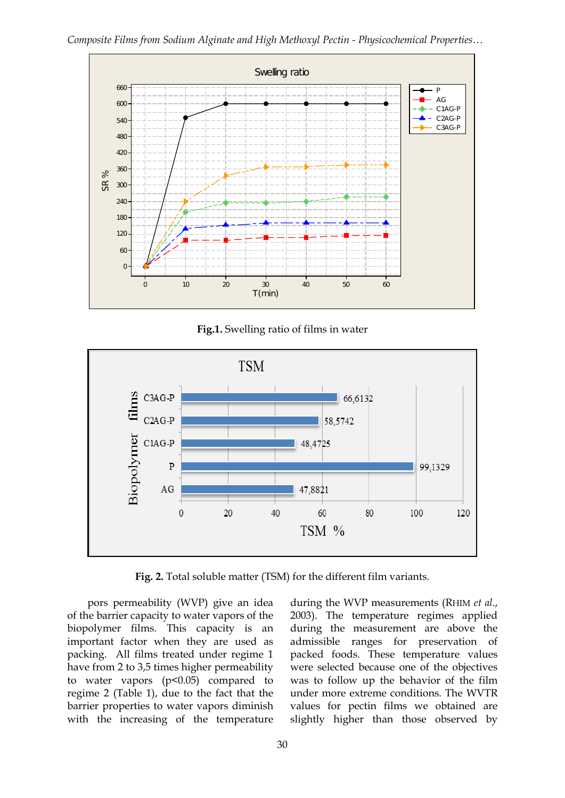

**Fig.1.** Swelling ratio of films in water



Fig. 2. Total soluble matter (TSM) for the different film variants.

pors permeability (WVP) give an idea of the barrier capacity to water vapors of the biopolymer films. This capacity is an important factor when they are used as packing. All films treated under regime 1 have from 2 to 3,5 times higher permeability to water vapors  $(p<0.05)$  compared to regime 2 (Table 1), due to the fact that the barrier properties to water vapors diminish with the increasing of the temperature

during the WVP measurements (RHIM *et al*., 2003). The temperature regimes applied during the measurement are above the admissible ranges for preservation of packed foods. These temperature values were selected because one of the objectives was to follow up the behavior of the film under more extreme conditions. The WVTR values for pectin films we obtained are slightly higher than those observed by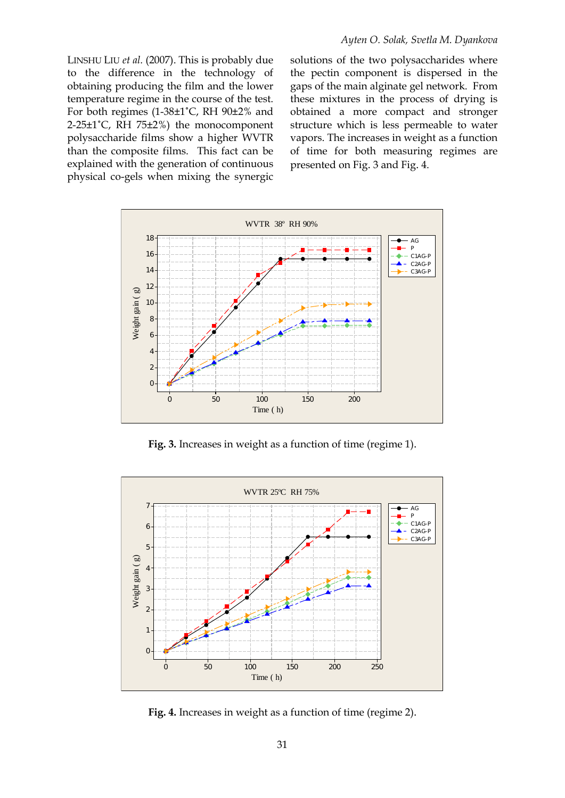LINSHU LIU *et al.* (2007). This is probably due to the difference in the technology of obtaining producing the film and the lower temperature regime in the course of the test. For both regimes (1-38±1˚С, RH 90±2% and 2-25±1˚С, RH 75±2%) the monocomponent polysaccharide films show a higher WVTR than the composite films. This fact can be explained with the generation of continuous physical co-gels when mixing the synergic solutions of the two polysaccharides where the pectin component is dispersed in the gaps of the main alginate gel network. From these mixtures in the process of drying is obtained a more compact and stronger structure which is less permeable to water vapors. The increases in weight as a function of time for both measuring regimes are presented on Fig. 3 and Fig. 4.



**Fig. 3.** Increases in weight as a function of time (regime 1).



**Fig. 4.** Increases in weight as a function of time (regime 2).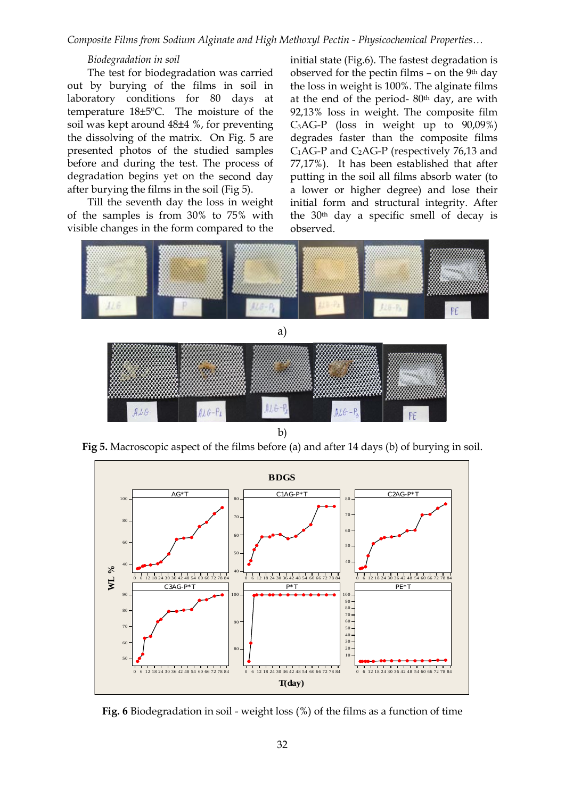*Composite Films from Sodium Alginate and High Methoxyl Pectin - Physicochemical Properties…*

#### *Biodegradation in soil*

The test for biodegradation was carried out by burying of the films in soil in laboratory conditions for 80 days at temperature 18±5ºС. The moisture of the soil was kept around 48±4 %, for preventing the dissolving of the matrix. On Fig. 5 are presented photos of the studied samples before and during the test. The process of degradation begins yet on the second day after burying the films in the soil (Fig 5).

Till the seventh day the loss in weight of the samples is from 30% to 75% with visible changes in the form compared to the

initial state (Fig.6). The fastest degradation is observed for the pectin films – on the 9th day the loss in weight is 100%. The alginate films at the end of the period- 80th day, are with 92,13% loss in weight. The composite film  $C_3AG-P$  (loss in weight up to  $90,09\%$ ) degrades faster than the composite films  $C_1AG-P$  and  $C_2AG-P$  (respectively 76,13 and 77,17%). It has been established that after putting in the soil all films absorb water (to a lower or higher degree) and lose their initial form and structural integrity. After the 30th day a specific smell of decay is observed.



b)

**Fig 5.** Macroscopic aspect of the films before (a) and after 14 days (b) of burying in soil.



**Fig. 6** Biodegradation in soil - weight loss (%) of the films as a function of time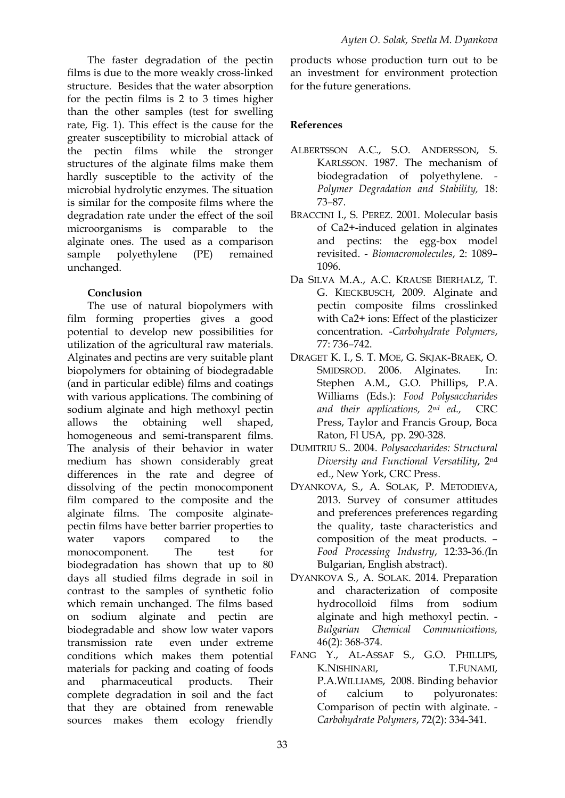The faster degradation of the pectin films is due to the more weakly cross-linked structure. Besides that the water absorption for the pectin films is 2 to 3 times higher than the other samples (test for swelling rate, Fig. 1). This effect is the cause for the greater susceptibility to microbial attack of the pectin films while the stronger structures of the alginate films make them hardly susceptible to the activity of the microbial hydrolytic enzymes. The situation is similar for the composite films where the degradation rate under the effect of the soil microorganisms is comparable to the alginate ones. The used as a comparison sample polyethylene (PE) remained unchanged.

## **Conclusion**

The use of natural biopolymers with film forming properties gives a good potential to develop new possibilities for utilization of the agricultural raw materials. Alginates and pectins are very suitable plant biopolymers for obtaining of biodegradable (and in particular edible) films and coatings with various applications. The combining of sodium alginate and high methoxyl pectin allows the obtaining well shaped, homogeneous and semi-transparent films. The analysis of their behavior in water medium has shown considerably great differences in the rate and degree of dissolving of the pectin monocomponent film compared to the composite and the alginate films. The composite alginatepectin films have better barrier properties to water vapors compared to the monocomponent. The test for biodegradation has shown that up to 80 days all studied films degrade in soil in contrast to the samples of synthetic folio which remain unchanged. The films based on sodium alginate and pectin are biodegradable and show low water vapors transmission rate even under extreme conditions which makes them potential materials for packing and coating of foods and pharmaceutical products. Their complete degradation in soil and the fact that they are obtained from renewable sources makes them ecology friendly

products whose production turn out to be an investment for environment protection for the future generations.

# **References**

- ALBERTSSON A.C., S.O. ANDERSSON, S. KARLSSON. 1987. The mechanism of biodegradation of polyethylene. *Polymer Degradation and Stability,* 18: 73–87.
- BRACCINI I., S. PEREZ. 2001. Molecular basis of Ca2+-induced gelation in alginates and pectins: the egg-box model revisited. - *Biomacromolecules*, 2: 1089– 1096.
- Da SILVA M.A., A.C. KRAUSE BIERHALZ, T. G. KIECKBUSCH, 2009. Alginate and pectin composite films crosslinked with Ca2+ ions: Effect of the plasticizer concentration. -*Carbohydrate Polymers*, 77: 736–742.
- DRAGET K. I., S. T. MOE, G. SKJAK-BRAEK, O. SMIDSROD. 2006. Alginates. In: Stephen A.M., G.O. Phillips, P.A. Williams (Eds.): *Food Polysaccharides and their applications, 2nd ed.,* CRC Press, Taylor and Francis Group, Boca Raton, Fl USA, pp. 290-328.
- DUMITRIU S.. 2004. *Polysaccharides: Structural Diversity and Functional Versatility*, 2nd ed., New York, CRC Press.
- DYANKOVA, S., A. SOLAK, P. METODIEVA, 2013. Survey of consumer attitudes and preferences preferences regarding the quality, taste characteristics and composition of the meat products. – *Food Processing Industry*, 12:33-36*.(*In Bulgarian, English abstract).
- DYANKOVA S., A. SOLAK. 2014. Preparation and characterization of composite hydrocolloid films from sodium alginate and high methoxyl pectin. - *Bulgarian Chemical Communications,* 46(2): 368-374.
- FANG Y., AL-ASSAF S., G.O. PHILLIPS, K.NISHINARI, T.FUNAMI, P.A.WILLIAMS, 2008. Binding behavior of calcium to polyuronates: Comparison of pectin with alginate. - *Carbohydrate Polymers*, 72(2): 334-341.